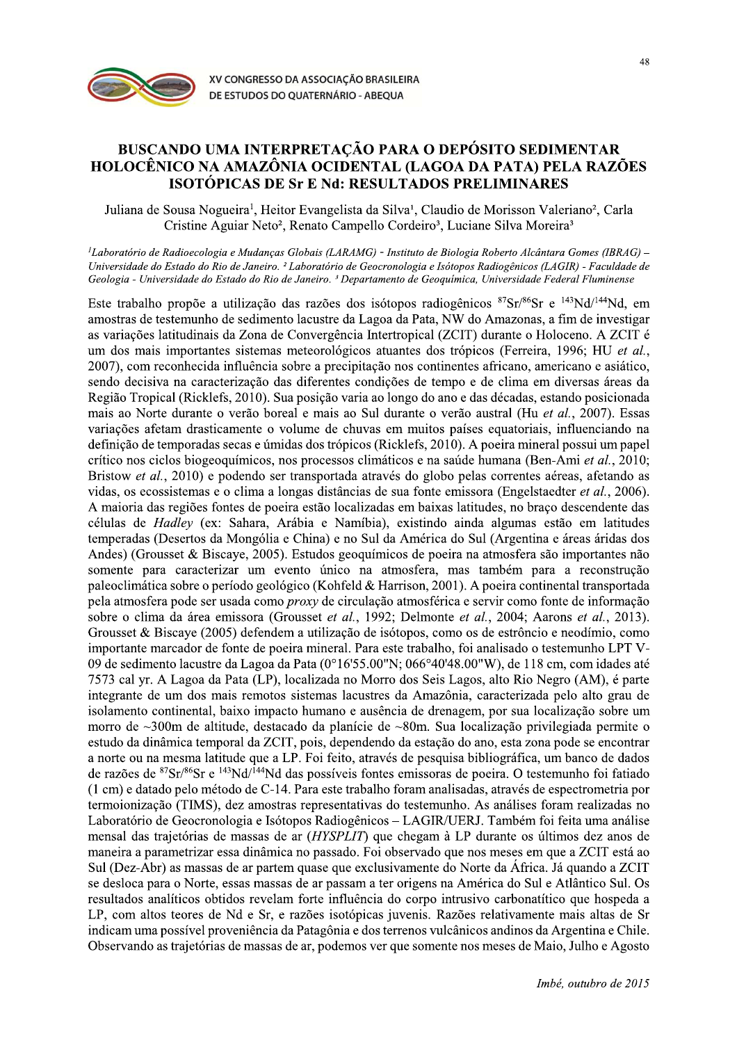

## BUSCANDO UMA INTERPRETAÇÃO PARA O DEPÓSITO SEDIMENTAR HOLOCÊNICO NA AMAZÔNIA OCIDENTAL (LAGOA DA PATA) PELA RAZÕES **ISOTÓPICAS DE Sr E Nd: RESULTADOS PRELIMINARES**

Juliana de Sousa Nogueira<sup>1</sup>, Heitor Evangelista da Silva<sup>1</sup>, Claudio de Morisson Valeriano<sup>2</sup>, Carla Cristine Aguiar Neto<sup>2</sup>, Renato Campello Cordeiro<sup>3</sup>, Luciane Silva Moreira<sup>3</sup>

<sup>1</sup>Laboratório de Radioecologia e Mudanças Globais (LARAMG) - Instituto de Biologia Roberto Alcântara Gomes (IBRAG) Universidade do Estado do Rio de Janeiro. <sup>2</sup> Laboratório de Geocronologia e Isótopos Radiogênicos (LAGIR) - Faculdade de Geologia - Universidade do Estado do Rio de Janeiro. <sup>3</sup> Departamento de Geoquímica, Universidade Federal Fluminense

Este trabalho propõe a utilização das razões dos isótopos radiogênicos <sup>87</sup>Sr/<sup>86</sup>Sr e <sup>143</sup>Nd/<sup>144</sup>Nd. em amostras de testemunho de sedimento lacustre da Lagoa da Pata, NW do Amazonas, a fim de investigar as variações latitudinais da Zona de Convergência Intertropical (ZCIT) durante o Holoceno. A ZCIT é um dos mais importantes sistemas meteorológicos atuantes dos trópicos (Ferreira, 1996; HU et al., 2007), com reconhecida influência sobre a precipitação nos continentes africano, americano e asiático, sendo decisiva na caracterização das diferentes condições de tempo e de clima em diversas áreas da Região Tropical (Ricklefs, 2010). Sua posição varia ao longo do ano e das décadas, estando posicionada mais ao Norte durante o verão boreal e mais ao Sul durante o verão austral (Hu et al., 2007). Essas variações afetam drasticamente o volume de chuvas em muitos países equatoriais, influenciando na definição de temporadas secas e úmidas dos trópicos (Ricklefs, 2010). A poeira mineral possui um papel crítico nos ciclos biogeoquímicos, nos processos climáticos e na saúde humana (Ben-Ami et al., 2010; Bristow et al., 2010) e podendo ser transportada através do globo pelas correntes aéreas, afetando as vidas, os ecossistemas e o clima a longas distâncias de sua fonte emissora (Engelstaedter et al., 2006). A maioria das regiões fontes de poeira estão localizadas em baixas latitudes, no braço descendente das células de *Hadley* (ex: Sahara, Arábia e Namíbia), existindo ainda algumas estão em latitudes temperadas (Desertos da Mongólia e China) e no Sul da América do Sul (Argentina e áreas áridas dos Andes) (Grousset & Biscaye, 2005). Estudos geoquímicos de poeira na atmosfera são importantes não somente para caracterizar um evento único na atmosfera, mas também para a reconstrução paleoclimática sobre o período geológico (Kohfeld & Harrison, 2001). A poeira continental transportada pela atmosfera pode ser usada como *proxy* de circulação atmosférica e servir como fonte de informação sobre o clima da área emissora (Grousset et al., 1992; Delmonte et al., 2004; Aarons et al., 2013). Grousset & Biscave (2005) defendem a utilização de isótopos, como os de estrôncio e neodímio, como importante marcador de fonte de poeira mineral. Para este trabalho, foi analisado o testemunho LPT V-09 de sedimento lacustre da Lagoa da Pata (0°16'55.00"N; 066°40'48.00"W), de 118 cm, com idades até 7573 cal yr. A Lagoa da Pata (LP), localizada no Morro dos Seis Lagos, alto Rio Negro (AM), é parte integrante de um dos mais remotos sistemas lacustres da Amazônia, caracterizada pelo alto grau de isolamento continental, baixo impacto humano e ausência de drenagem, por sua localização sobre um morro de  $\sim$ 300m de altitude, destacado da planície de  $\sim$ 80m. Sua localização privilegiada permite o estudo da dinâmica temporal da ZCIT, pois, dependendo da estação do ano, esta zona pode se encontrar a norte ou na mesma latitude que a LP. Foi feito, através de pesquisa bibliográfica, um banco de dados de razões de <sup>87</sup>Sr/<sup>86</sup>Sr e <sup>143</sup>Nd/<sup>144</sup>Nd das possíveis fontes emissoras de poeira. O testemunho foi fatiado (1 cm) e datado pelo método de C-14. Para este trabalho foram analisadas, através de espectrometria por termoionização (TIMS), dez amostras representativas do testemunho. As análises foram realizadas no Laboratório de Geocronologia e Isótopos Radiogênicos – LAGIR/UERJ. Também foi feita uma análise mensal das trajetórias de massas de ar (*HYSPLIT*) que chegam à LP durante os últimos dez anos de maneira a parametrizar essa dinâmica no passado. Foi observado que nos meses em que a ZCIT está ao Sul (Dez-Abr) as massas de ar partem quase que exclusivamente do Norte da África. Já quando a ZCIT se desloca para o Norte, essas massas de ar passam a ter origens na América do Sul e Atlântico Sul. Os resultados analíticos obtidos revelam forte influência do corpo intrusivo carbonatítico que hospeda a LP, com altos teores de Nd e Sr, e razões isotópicas juvenis. Razões relativamente mais altas de Sr indicam uma possível proveniência da Patagônia e dos terrenos vulcânicos andinos da Argentina e Chile. Observando as trajetórias de massas de ar, podemos ver que somente nos meses de Maio, Julho e Agosto